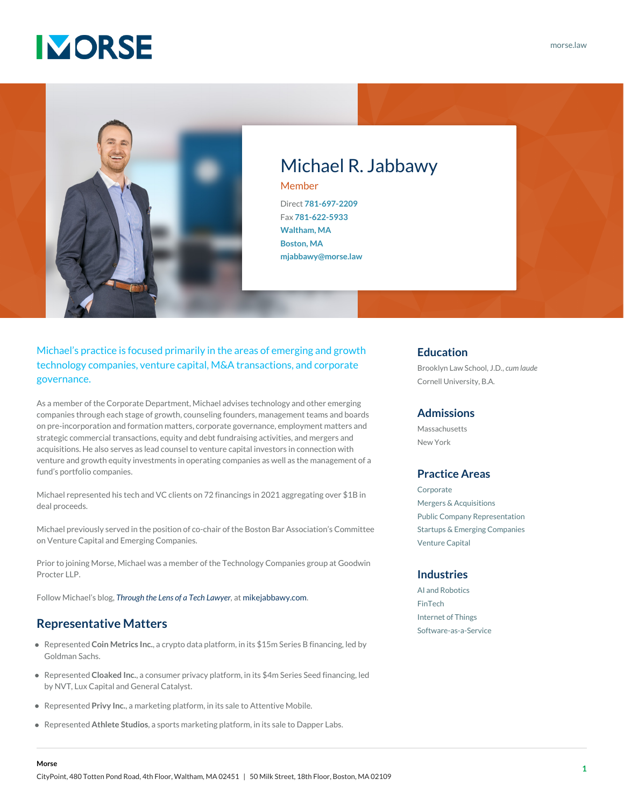## **IMORSE**



### Michael R. Jabbawy

Member Direct **[781-697-2209](#page--1-0)** Fax **[781-622-5933](#page--1-0) [Waltham, MA](https://www.morse.law/contact/office-location/waltham-ma/) [Boston, MA](https://www.morse.law/contact/office-location/boston-ma/) [mjabbawy@morse.law](mailto:mjabbawy@morse.law)**

Michael's practice is focused primarily in the areas of emerging and growth technology companies, venture capital, M&A transactions, and corporate governance.

As a member of the Corporate Department, Michael advises technology and other emerging companies through each stage of growth, counseling founders, management teams and boards on pre-incorporation and formation matters, corporate governance, employment matters and strategic commercial transactions, equity and debt fundraising activities, and mergers and acquisitions. He also serves as lead counsel to venture capital investors in connection with venture and growth equity investments in operating companies as well as the management of a fund's portfolio companies.

Michael represented his tech and VC clients on 72 financings in 2021 aggregating over \$1B in deal proceeds.

Michael previously served in the position of co-chair of the Boston Bar Association's Committee on Venture Capital and Emerging Companies.

Prior to joining Morse, Michael was a member of the Technology Companies group at Goodwin Procter LLP.

Follow Michael's blog, *[Through the Lens of a Tech Lawyer](https://www.mikejabbawy.com/),* at [mikejabbawy.com](https://www.mikejabbawy.com/).

#### **Representative Matters**

- Represented **Coin Metrics Inc.**, a crypto data platform, in its \$15m Series B financing, led by Goldman Sachs.
- Represented **Cloaked Inc.**, a consumer privacy platform, in its \$4m Series Seed financing, led by NVT, Lux Capital and General Catalyst.
- Represented **Privy Inc.**, a marketing platform, in its sale to Attentive Mobile.
- Represented **Athlete Studios**, a sports marketing platform, in its sale to Dapper Labs.

#### **Education**

Brooklyn Law School, J.D., *cum laude* Cornell University, B.A.

#### **Admissions**

Massachusetts New York

#### **Practice Areas**

[Corporate](https://www.morse.law/practice/corporate/) [Mergers & Acquisitions](https://www.morse.law/practice/corporate/mergers-acquisitions/) [Public Company Representation](https://www.morse.law/practice/corporate/public-company-representation/) [Startups & Emerging Companies](https://www.morse.law/practice/corporate/startups-emerging-companies/) [Venture Capital](https://www.morse.law/practice/corporate/venture-capital/)

#### **Industries**

[AI and Robotics](https://www.morse.law/industry/ai-and-robotics/) [FinTech](https://www.morse.law/industry/fintech/) [Internet of Things](https://www.morse.law/industry/internet-of-things/) [Software-as-a-Service](https://www.morse.law/industry/software-as-a-service/)

**Morse**